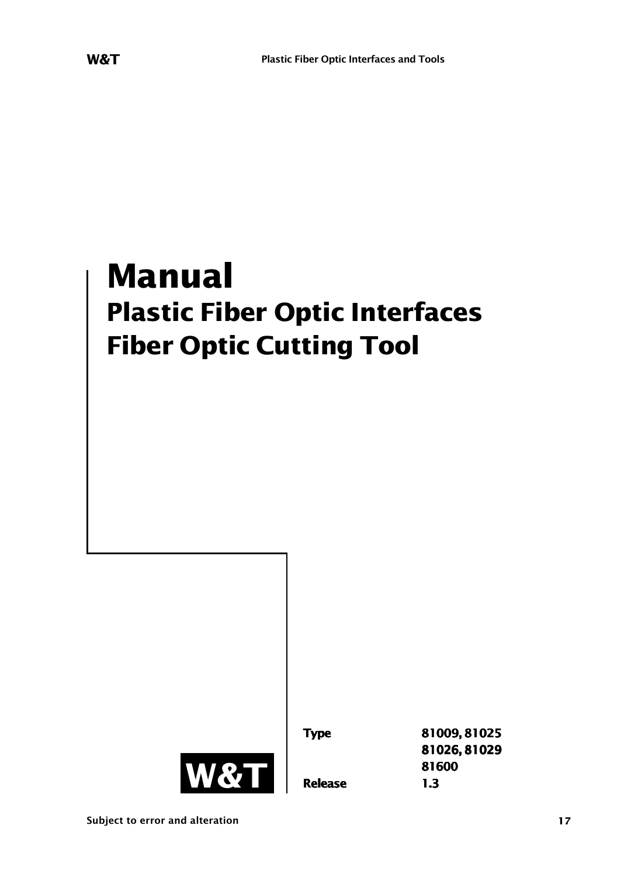# **Manual Plastic Fiber Optic Interfaces Fiber Optic Cutting Tool**

**<sup>81600</sup> W&T Release 1.3**

**Type 81009, 81025 81026, 81029**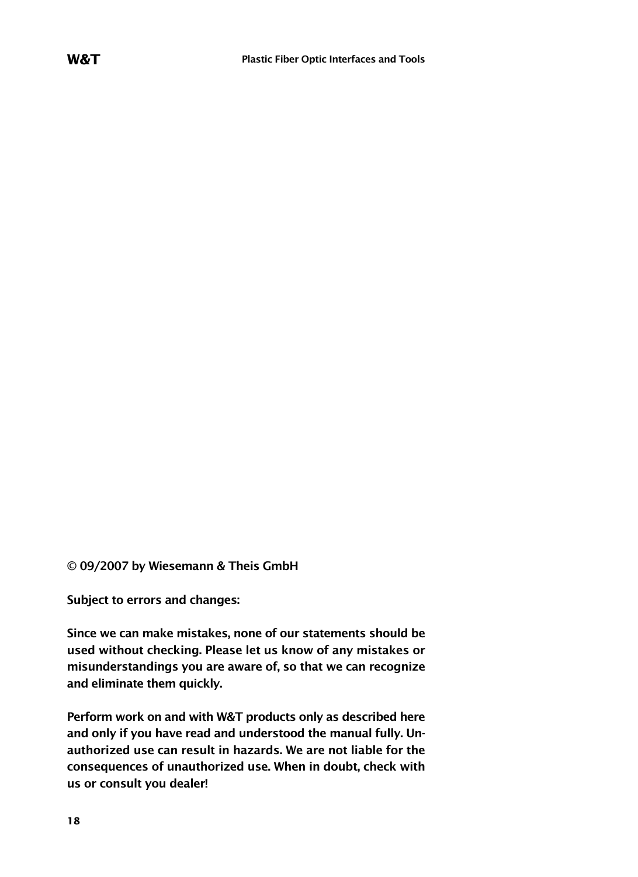**© 09/2007 by Wiesemann & Theis GmbH**

**Subject to errors and changes:**

**Since we can make mistakes, none of our statements should be used without checking. Please let us know of any mistakes or misunderstandings you are aware of, so that we can recognize and eliminate them quickly.**

**Perform work on and with W&T products only as described here and only if you have read and understood the manual fully. Unauthorized use can result in hazards. We are not liable for the consequences of unauthorized use. When in doubt, check with us or consult you dealer!**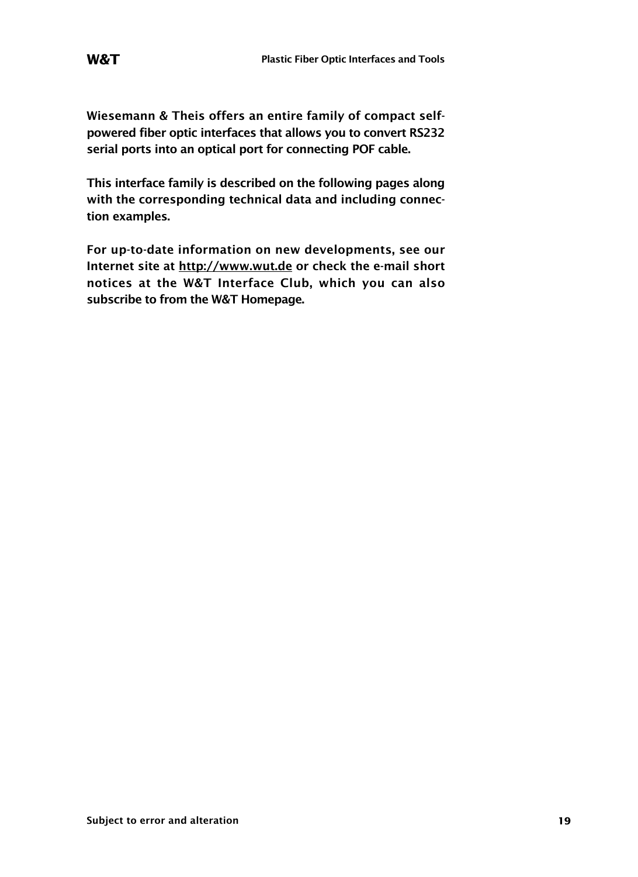**Wiesemann & Theis offers an entire family of compact selfpowered fiber optic interfaces that allows you to convert RS232 serial ports into an optical port for connecting POF cable.**

**This interface family is described on the following pages along with the corresponding technical data and including connection examples.**

**For up-to-date information on new developments, see our Internet site at http://www.wut.de or check the e-mail short notices at the W&T Interface Club, which you can also subscribe to from the W&T Homepage.**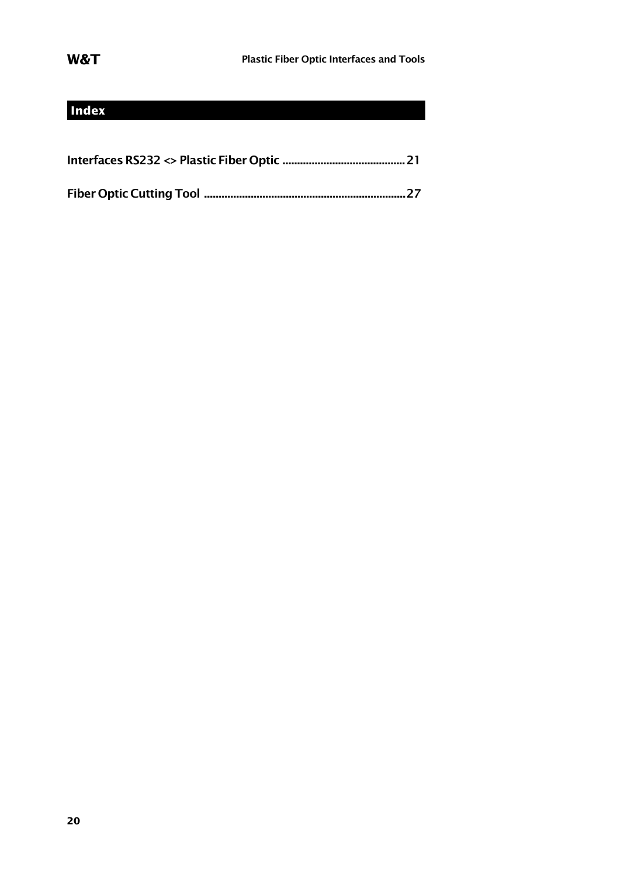## **Index**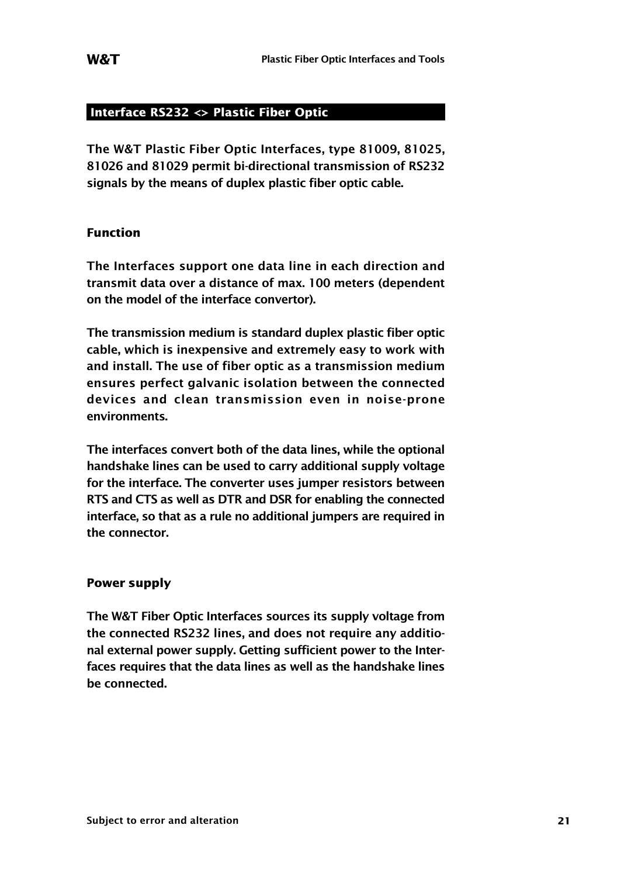### **Interface RS232 <> Plastic Fiber Optic**

**The W&T Plastic Fiber Optic Interfaces, type 81009, 81025, 81026 and 81029 permit bi-directional transmission of RS232 signals by the means of duplex plastic fiber optic cable.**

#### **Function**

**The Interfaces support one data line in each direction and transmit data over a distance of max. 100 meters (dependent on the model of the interface convertor).**

**The transmission medium is standard duplex plastic fiber optic cable, which is inexpensive and extremely easy to work with and install. The use of fiber optic as a transmission medium ensures perfect galvanic isolation between the connected devices and clean transmission even in noise-prone environments.**

**The interfaces convert both of the data lines, while the optional handshake lines can be used to carry additional supply voltage for the interface. The converter uses jumper resistors between RTS and CTS as well as DTR and DSR for enabling the connected interface, so that as a rule no additional jumpers are required in the connector.**

#### **Power supply**

**The W&T Fiber Optic Interfaces sources its supply voltage from the connected RS232 lines, and does not require any additional external power supply. Getting sufficient power to the Interfaces requires that the data lines as well as the handshake lines be connected.**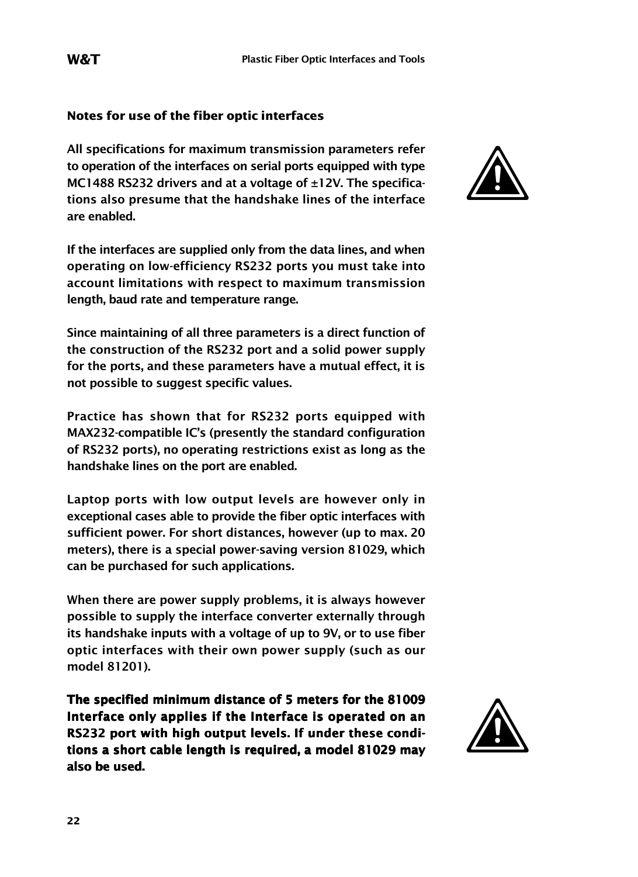#### **Notes for use of the fiber optic interfaces**

**All specifications for maximum transmission parameters refer to operation of the interfaces on serial ports equipped with type MC1488 RS232 drivers and at a voltage of ±12V. The specifications also presume that the handshake lines of the interface are enabled.**

**If the interfaces are supplied only from the data lines, and when operating on low-efficiency RS232 ports you must take into account limitations with respect to maximum transmission length, baud rate and temperature range.**

**Since maintaining of all three parameters is a direct function of the construction of the RS232 port and a solid power supply for the ports, and these parameters have a mutual effect, it is not possible to suggest specific values.**

**Practice has shown that for RS232 ports equipped with MAX232-compatible IC's (presently the standard configuration of RS232 ports), no operating restrictions exist as long as the handshake lines on the port are enabled.**

**Laptop ports with low output levels are however only in exceptional cases able to provide the fiber optic interfaces with sufficient power. For short distances, however (up to max. 20 meters), there is a special power-saving version 81029, which can be purchased for such applications.**

**When there are power supply problems, it is always however possible to supply the interface converter externally through its handshake inputs with a voltage of up to 9V, or to use fiber optic interfaces with their own power supply (such as our model 81201).**

**The specified minimum distance of 5 meters for the 81009 Interface only applies if the Interface is operated on an RS232 port with high output levels. If under these conditions a short cable length is required, a model 81029 may also be used.**



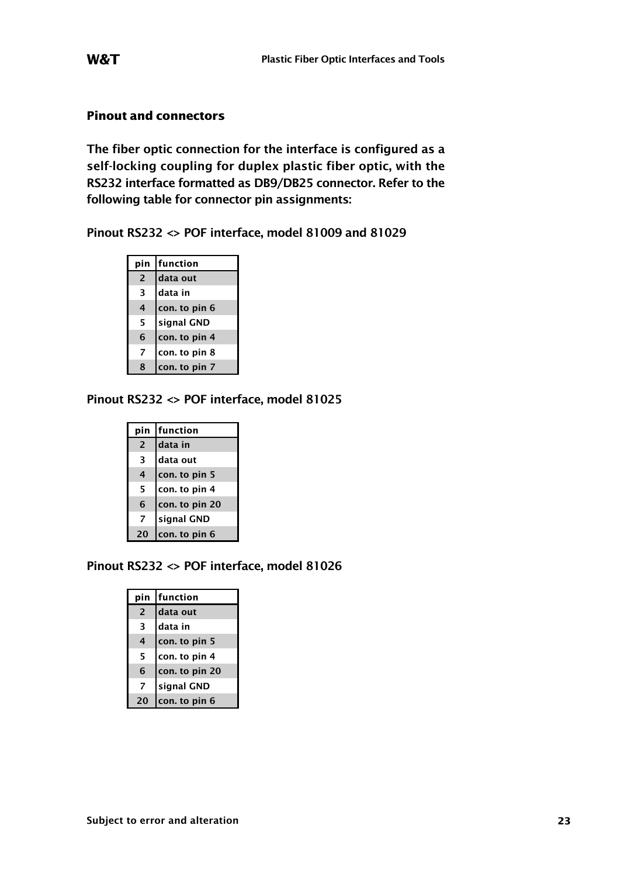### **Pinout and connectors**

**The fiber optic connection for the interface is configured as a self-locking coupling for duplex plastic fiber optic, with the RS232 interface formatted as DB9/DB25 connector. Refer to the following table for connector pin assignments:**

**Pinout RS232 <> POF interface, model 81009 and 81029**

| pin            | function      |
|----------------|---------------|
| $\overline{2}$ | data out      |
| 3              | data in       |
| 4              | con. to pin 6 |
| 5              | signal GND    |
| 6              | con. to pin 4 |
| 7              | con. to pin 8 |
| 8              | con. to pin 7 |

#### **Pinout RS232 <> POF interface, model 81025**

| pin            | function       |
|----------------|----------------|
| $\overline{2}$ | data in        |
| 3              | data out       |
| 4              | con. to pin 5  |
| 5              | con. to pin 4  |
| 6              | con. to pin 20 |
| 7              | signal GND     |
| 20             | con. to pin 6  |

**Pinout RS232 <> POF interface, model 81026**

|                | pin function   |
|----------------|----------------|
| $\overline{2}$ | data out       |
| 3              | data in        |
| 4              | con. to pin 5  |
| 5              | con. to pin 4  |
| 6              | con. to pin 20 |
| 7              | signal GND     |
|                | con. to pin 6  |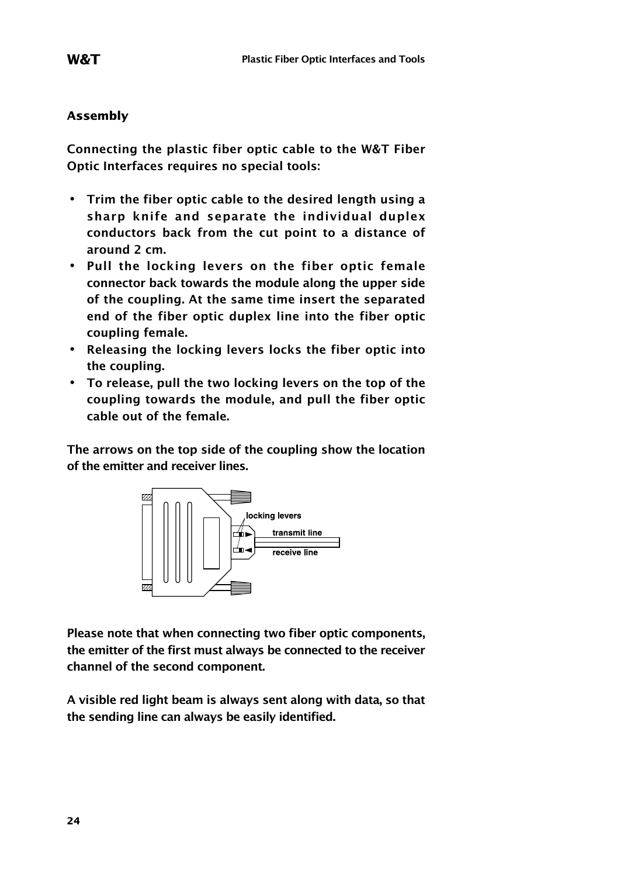#### **Assembly**

**Connecting the plastic fiber optic cable to the W&T Fiber Optic Interfaces requires no special tools:**

- **• Trim the fiber optic cable to the desired length using a sharp knife and separate the individual duplex conductors back from the cut point to a distance of around 2 cm.**
- **• Pull the locking levers on the fiber optic female connector back towards the module along the upper side of the coupling. At the same time insert the separated end of the fiber optic duplex line into the fiber optic coupling female.**
- **• Releasing the locking levers locks the fiber optic into the coupling.**
- **• To release, pull the two locking levers on the top of the coupling towards the module, and pull the fiber optic cable out of the female.**

**The arrows on the top side of the coupling show the location of the emitter and receiver lines.**



**Please note that when connecting two fiber optic components, the emitter of the first must always be connected to the receiver channel of the second component.**

**A visible red light beam is always sent along with data, so that the sending line can always be easily identified.**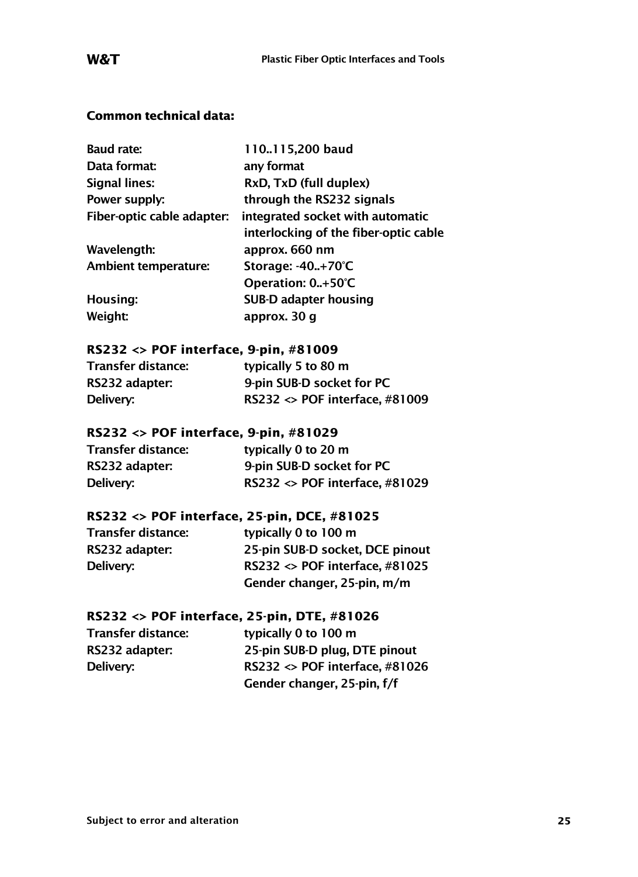### **Common technical data:**

| <b>Baud rate:</b>          | 110115,200 baud                       |
|----------------------------|---------------------------------------|
| Data format:               | any format                            |
| Signal lines:              | RxD, TxD (full duplex)                |
| Power supply:              | through the RS232 signals             |
| Fiber-optic cable adapter: | integrated socket with automatic      |
|                            | interlocking of the fiber-optic cable |
| Wavelength:                | approx. 660 nm                        |
| Ambient temperature:       | Storage: -40+70°C                     |
|                            | Operation: 0+50°C                     |
| Housing:                   | SUB-D adapter housing                 |
| Weight:                    | approx. 30 q                          |

#### **RS232 <> POF interface, 9-pin, #81009**

| Transfer distance: | typically 5 to 80 m                           |
|--------------------|-----------------------------------------------|
| RS232 adapter:     | 9-pin SUB-D socket for PC                     |
| Delivery:          | RS232 $\leftrightarrow$ POF interface, #81009 |

#### **RS232 <> POF interface, 9-pin, #81029**

| Transfer distance: | typically 0 to 20 m                           |
|--------------------|-----------------------------------------------|
| RS232 adapter:     | 9-pin SUB-D socket for PC                     |
| Delivery:          | RS232 $\leftrightarrow$ POF interface. #81029 |

#### **RS232 <> POF interface, 25-pin, DCE, #81025**

| typically 0 to 100 m                          |
|-----------------------------------------------|
| 25-pin SUB-D socket, DCE pinout               |
| RS232 $\leftrightarrow$ POF interface, #81025 |
| Gender changer, 25-pin, m/m                   |
|                                               |

### **RS232 <> POF interface, 25-pin, DTE, #81026**

| Transfer distance: | typically 0 to 100 m                          |
|--------------------|-----------------------------------------------|
| RS232 adapter:     | 25-pin SUB-D plug. DTE pinout                 |
| Delivery:          | RS232 $\leftrightarrow$ POF interface, #81026 |
|                    | Gender changer, 25-pin, f/f                   |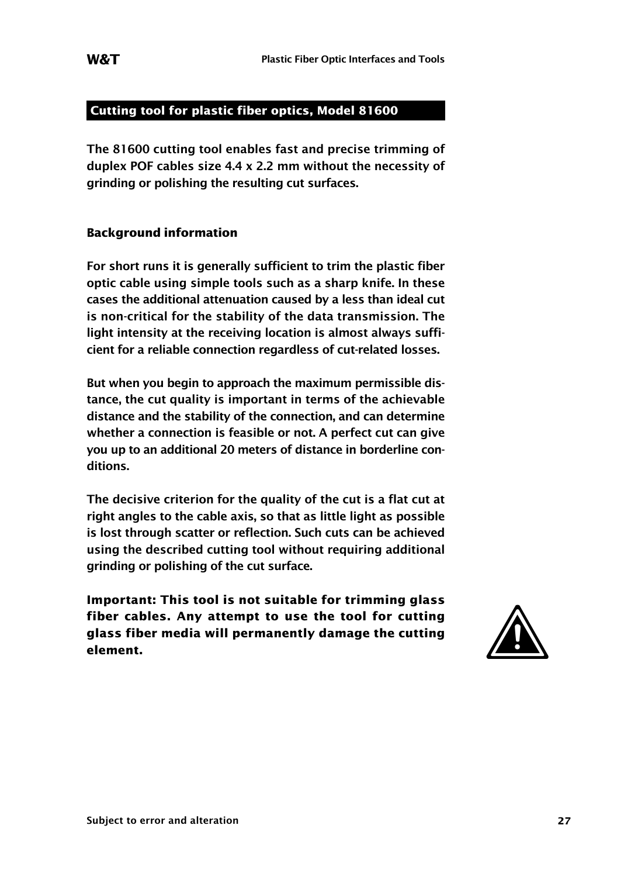### **Cutting tool for plastic fiber optics, Model 81600**

**The 81600 cutting tool enables fast and precise trimming of duplex POF cables size 4.4 x 2.2 mm without the necessity of grinding or polishing the resulting cut surfaces.**

#### **Background information**

**For short runs it is generally sufficient to trim the plastic fiber optic cable using simple tools such as a sharp knife. In these cases the additional attenuation caused by a less than ideal cut is non-critical for the stability of the data transmission. The light intensity at the receiving location is almost always sufficient for a reliable connection regardless of cut-related losses.**

**But when you begin to approach the maximum permissible distance, the cut quality is important in terms of the achievable distance and the stability of the connection, and can determine whether a connection is feasible or not. A perfect cut can give you up to an additional 20 meters of distance in borderline conditions.**

**The decisive criterion for the quality of the cut is a flat cut at right angles to the cable axis, so that as little light as possible is lost through scatter or reflection. Such cuts can be achieved using the described cutting tool without requiring additional grinding or polishing of the cut surface.**

Important: This tool is not suitable for trimming glass<br>fiber cables. Any attempt to use the tool for cutting<br>glass fiber media will permanently damage the cutting<br>element. **fiber cables. Any attempt to use the tool for cutting glass fiber media will permanently damage the cutting**

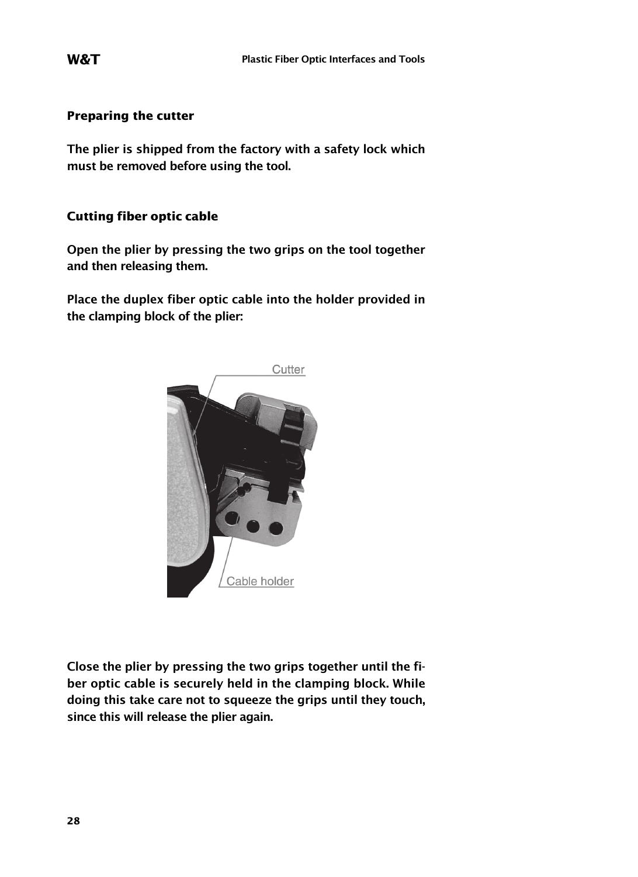#### **Preparing the cutter**

**The plier is shipped from the factory with a safety lock which must be removed before using the tool.**

#### **Cutting fiber optic cable**

**Open the plier by pressing the two grips on the tool together and then releasing them.**

**Place the duplex fiber optic cable into the holder provided in the clamping block of the plier:**



**Close the plier by pressing the two grips together until the fiber optic cable is securely held in the clamping block. While doing this take care not to squeeze the grips until they touch, since this will release the plier again.**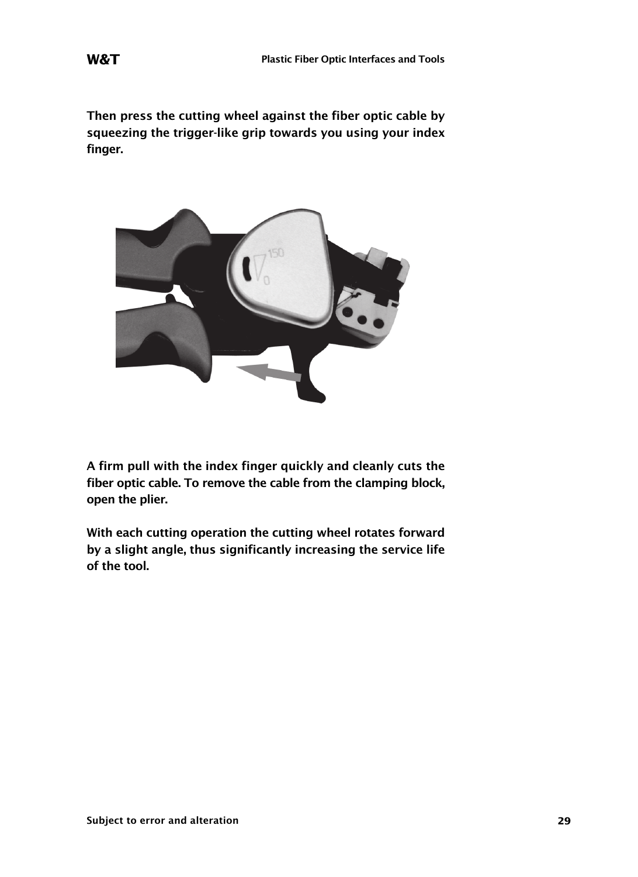**Then press the cutting wheel against the fiber optic cable by squeezing the trigger-like grip towards you using your index finger.**



**A firm pull with the index finger quickly and cleanly cuts the fiber optic cable. To remove the cable from the clamping block, open the plier.**

**With each cutting operation the cutting wheel rotates forward by a slight angle, thus significantly increasing the service life of the tool.**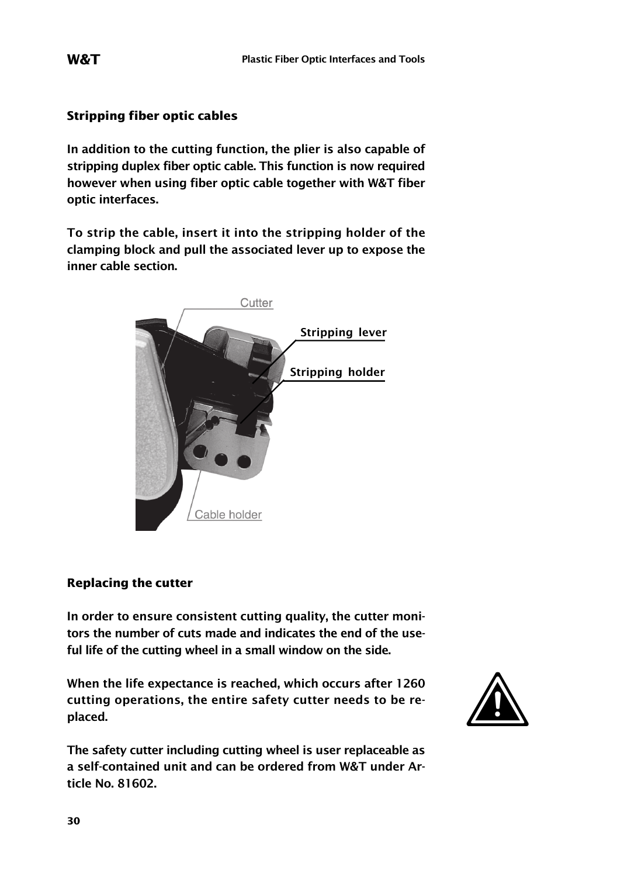#### **Stripping fiber optic cables**

**In addition to the cutting function, the plier is also capable of stripping duplex fiber optic cable. This function is now required however when using fiber optic cable together with W&T fiber optic interfaces.**

**To strip the cable, insert it into the stripping holder of the clamping block and pull the associated lever up to expose the inner cable section.**



#### **Replacing the cutter**

**In order to ensure consistent cutting quality, the cutter monitors the number of cuts made and indicates the end of the useful life of the cutting wheel in a small window on the side.**

**When the life expectance is reached, which occurs after 1260 cutting operations, the entire safety cutter needs to be replaced.**



**The safety cutter including cutting wheel is user replaceable as a self-contained unit and can be ordered from W&T under Article No. 81602.**